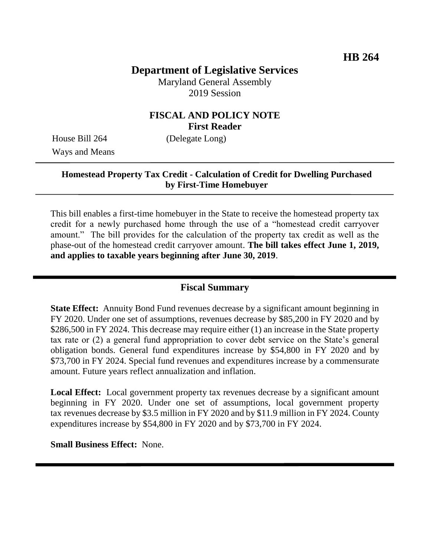# **Department of Legislative Services**

Maryland General Assembly 2019 Session

# **FISCAL AND POLICY NOTE First Reader**

Ways and Means

House Bill 264 (Delegate Long)

#### **Homestead Property Tax Credit - Calculation of Credit for Dwelling Purchased by First-Time Homebuyer**

This bill enables a first-time homebuyer in the State to receive the homestead property tax credit for a newly purchased home through the use of a "homestead credit carryover amount." The bill provides for the calculation of the property tax credit as well as the phase-out of the homestead credit carryover amount. **The bill takes effect June 1, 2019, and applies to taxable years beginning after June 30, 2019**.

#### **Fiscal Summary**

**State Effect:** Annuity Bond Fund revenues decrease by a significant amount beginning in FY 2020. Under one set of assumptions, revenues decrease by \$85,200 in FY 2020 and by \$286,500 in FY 2024. This decrease may require either (1) an increase in the State property tax rate or (2) a general fund appropriation to cover debt service on the State's general obligation bonds. General fund expenditures increase by \$54,800 in FY 2020 and by \$73,700 in FY 2024. Special fund revenues and expenditures increase by a commensurate amount. Future years reflect annualization and inflation.

**Local Effect:** Local government property tax revenues decrease by a significant amount beginning in FY 2020. Under one set of assumptions, local government property tax revenues decrease by \$3.5 million in FY 2020 and by \$11.9 million in FY 2024. County expenditures increase by \$54,800 in FY 2020 and by \$73,700 in FY 2024.

**Small Business Effect:** None.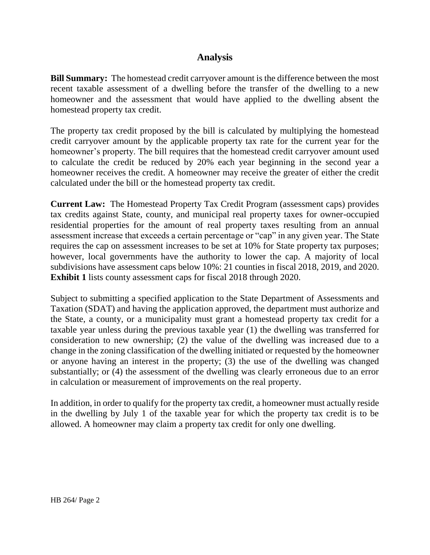# **Analysis**

**Bill Summary:** The homestead credit carryover amount is the difference between the most recent taxable assessment of a dwelling before the transfer of the dwelling to a new homeowner and the assessment that would have applied to the dwelling absent the homestead property tax credit.

The property tax credit proposed by the bill is calculated by multiplying the homestead credit carryover amount by the applicable property tax rate for the current year for the homeowner's property. The bill requires that the homestead credit carryover amount used to calculate the credit be reduced by 20% each year beginning in the second year a homeowner receives the credit. A homeowner may receive the greater of either the credit calculated under the bill or the homestead property tax credit.

**Current Law:** The Homestead Property Tax Credit Program (assessment caps) provides tax credits against State, county, and municipal real property taxes for owner-occupied residential properties for the amount of real property taxes resulting from an annual assessment increase that exceeds a certain percentage or "cap" in any given year. The State requires the cap on assessment increases to be set at 10% for State property tax purposes; however, local governments have the authority to lower the cap. A majority of local subdivisions have assessment caps below 10%: 21 counties in fiscal 2018, 2019, and 2020. **Exhibit 1** lists county assessment caps for fiscal 2018 through 2020.

Subject to submitting a specified application to the State Department of Assessments and Taxation (SDAT) and having the application approved, the department must authorize and the State, a county, or a municipality must grant a homestead property tax credit for a taxable year unless during the previous taxable year (1) the dwelling was transferred for consideration to new ownership; (2) the value of the dwelling was increased due to a change in the zoning classification of the dwelling initiated or requested by the homeowner or anyone having an interest in the property; (3) the use of the dwelling was changed substantially; or (4) the assessment of the dwelling was clearly erroneous due to an error in calculation or measurement of improvements on the real property.

In addition, in order to qualify for the property tax credit, a homeowner must actually reside in the dwelling by July 1 of the taxable year for which the property tax credit is to be allowed. A homeowner may claim a property tax credit for only one dwelling.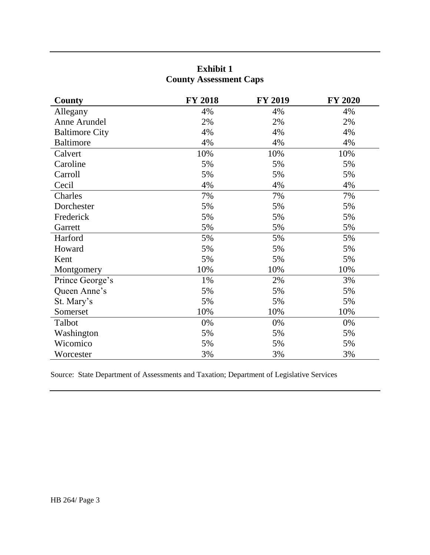# **Exhibit 1 County Assessment Caps**

| County                | <b>FY 2018</b> | <b>FY 2019</b> | <b>FY 2020</b> |
|-----------------------|----------------|----------------|----------------|
| Allegany              | 4%             | 4%             | 4%             |
| Anne Arundel          | 2%             | 2%             | 2%             |
| <b>Baltimore City</b> | 4%             | 4%             | 4%             |
| <b>Baltimore</b>      | 4%             | 4%             | 4%             |
| Calvert               | 10%            | 10%            | 10%            |
| Caroline              | 5%             | 5%             | 5%             |
| Carroll               | 5%             | 5%             | 5%             |
| Cecil                 | 4%             | 4%             | 4%             |
| Charles               | 7%             | 7%             | 7%             |
| Dorchester            | 5%             | 5%             | 5%             |
| Frederick             | 5%             | 5%             | 5%             |
| Garrett               | 5%             | 5%             | 5%             |
| Harford               | 5%             | 5%             | 5%             |
| Howard                | 5%             | 5%             | 5%             |
| Kent                  | 5%             | 5%             | 5%             |
| Montgomery            | 10%            | 10%            | 10%            |
| Prince George's       | 1%             | 2%             | 3%             |
| Queen Anne's          | 5%             | 5%             | 5%             |
| St. Mary's            | 5%             | 5%             | 5%             |
| Somerset              | 10%            | 10%            | 10%            |
| Talbot                | 0%             | 0%             | 0%             |
| Washington            | 5%             | 5%             | 5%             |
| Wicomico              | 5%             | 5%             | 5%             |
| Worcester             | 3%             | 3%             | 3%             |

Source: State Department of Assessments and Taxation; Department of Legislative Services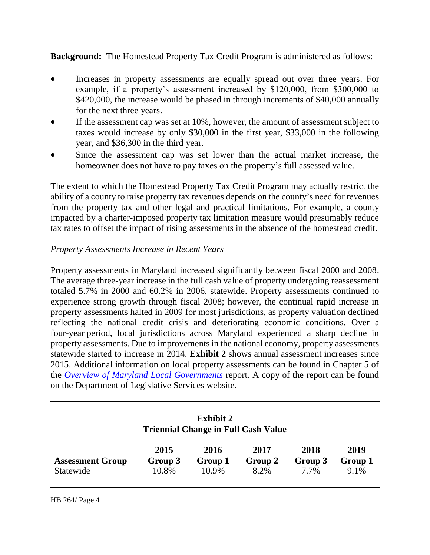## **Background:** The Homestead Property Tax Credit Program is administered as follows:

- Increases in property assessments are equally spread out over three years. For example, if a property's assessment increased by \$120,000, from \$300,000 to \$420,000, the increase would be phased in through increments of \$40,000 annually for the next three years.
- If the assessment cap was set at 10%, however, the amount of assessment subject to taxes would increase by only \$30,000 in the first year, \$33,000 in the following year, and \$36,300 in the third year.
- Since the assessment cap was set lower than the actual market increase, the homeowner does not have to pay taxes on the property's full assessed value.

The extent to which the Homestead Property Tax Credit Program may actually restrict the ability of a county to raise property tax revenues depends on the county's need for revenues from the property tax and other legal and practical limitations. For example, a county impacted by a charter-imposed property tax limitation measure would presumably reduce tax rates to offset the impact of rising assessments in the absence of the homestead credit.

#### *Property Assessments Increase in Recent Years*

Property assessments in Maryland increased significantly between fiscal 2000 and 2008. The average three-year increase in the full cash value of property undergoing reassessment totaled 5.7% in 2000 and 60.2% in 2006, statewide. Property assessments continued to experience strong growth through fiscal 2008; however, the continual rapid increase in property assessments halted in 2009 for most jurisdictions, as property valuation declined reflecting the national credit crisis and deteriorating economic conditions. Over a four-year period, local jurisdictions across Maryland experienced a sharp decline in property assessments. Due to improvements in the national economy, property assessments statewide started to increase in 2014. **Exhibit 2** shows annual assessment increases since 2015. Additional information on local property assessments can be found in Chapter 5 of the *[Overview of Maryland Local Governments](http://dls.maryland.gov/pubs/prod/InterGovMatters/LocFinTaxRte/Overview-of-Maryland-Local-Governments-2019.pdf)* report. A copy of the report can be found on the Department of Legislative Services website.

| <b>Exhibit 2</b><br><b>Triennial Change in Full Cash Value</b> |                          |                          |                         |                         |                         |  |  |
|----------------------------------------------------------------|--------------------------|--------------------------|-------------------------|-------------------------|-------------------------|--|--|
| <b>Assessment Group</b><br>Statewide                           | 2015<br>Group 3<br>10.8% | 2016<br>Group 1<br>10.9% | 2017<br>Group 2<br>8.2% | 2018<br>Group 3<br>7.7% | 2019<br>Group 1<br>9.1% |  |  |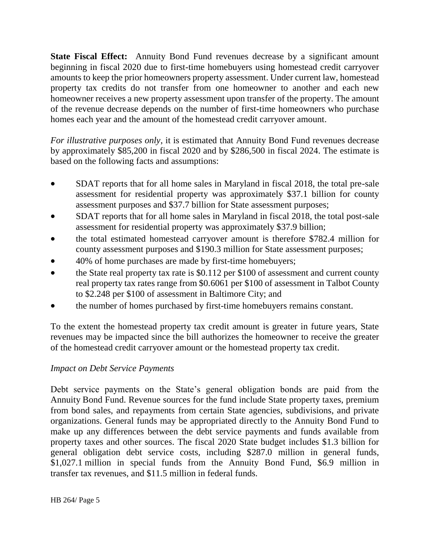**State Fiscal Effect:** Annuity Bond Fund revenues decrease by a significant amount beginning in fiscal 2020 due to first-time homebuyers using homestead credit carryover amounts to keep the prior homeowners property assessment. Under current law, homestead property tax credits do not transfer from one homeowner to another and each new homeowner receives a new property assessment upon transfer of the property. The amount of the revenue decrease depends on the number of first-time homeowners who purchase homes each year and the amount of the homestead credit carryover amount.

*For illustrative purposes only*, it is estimated that Annuity Bond Fund revenues decrease by approximately \$85,200 in fiscal 2020 and by \$286,500 in fiscal 2024. The estimate is based on the following facts and assumptions:

- SDAT reports that for all home sales in Maryland in fiscal 2018, the total pre-sale assessment for residential property was approximately \$37.1 billion for county assessment purposes and \$37.7 billion for State assessment purposes;
- SDAT reports that for all home sales in Maryland in fiscal 2018, the total post-sale assessment for residential property was approximately \$37.9 billion;
- the total estimated homestead carryover amount is therefore \$782.4 million for county assessment purposes and \$190.3 million for State assessment purposes;
- 40% of home purchases are made by first-time homebuyers;
- the State real property tax rate is \$0.112 per \$100 of assessment and current county real property tax rates range from \$0.6061 per \$100 of assessment in Talbot County to \$2.248 per \$100 of assessment in Baltimore City; and
- the number of homes purchased by first-time homebuyers remains constant.

To the extent the homestead property tax credit amount is greater in future years, State revenues may be impacted since the bill authorizes the homeowner to receive the greater of the homestead credit carryover amount or the homestead property tax credit.

# *Impact on Debt Service Payments*

Debt service payments on the State's general obligation bonds are paid from the Annuity Bond Fund. Revenue sources for the fund include State property taxes, premium from bond sales, and repayments from certain State agencies, subdivisions, and private organizations. General funds may be appropriated directly to the Annuity Bond Fund to make up any differences between the debt service payments and funds available from property taxes and other sources. The fiscal 2020 State budget includes \$1.3 billion for general obligation debt service costs, including \$287.0 million in general funds, \$1,027.1 million in special funds from the Annuity Bond Fund, \$6.9 million in transfer tax revenues, and \$11.5 million in federal funds.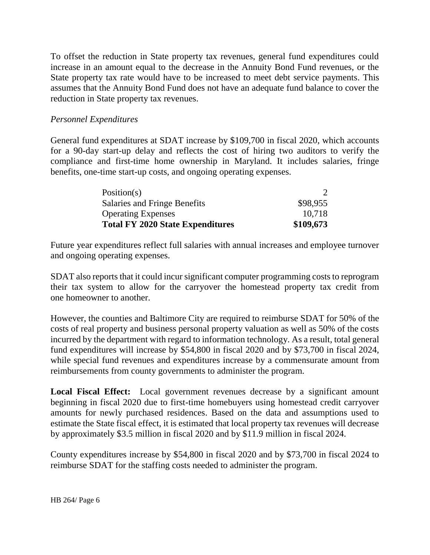To offset the reduction in State property tax revenues, general fund expenditures could increase in an amount equal to the decrease in the Annuity Bond Fund revenues, or the State property tax rate would have to be increased to meet debt service payments. This assumes that the Annuity Bond Fund does not have an adequate fund balance to cover the reduction in State property tax revenues.

#### *Personnel Expenditures*

General fund expenditures at SDAT increase by \$109,700 in fiscal 2020, which accounts for a 90-day start-up delay and reflects the cost of hiring two auditors to verify the compliance and first-time home ownership in Maryland. It includes salaries, fringe benefits, one-time start-up costs, and ongoing operating expenses.

| Position( $s$ )                         |           |
|-----------------------------------------|-----------|
| Salaries and Fringe Benefits            | \$98,955  |
| <b>Operating Expenses</b>               | 10,718    |
| <b>Total FY 2020 State Expenditures</b> | \$109,673 |

Future year expenditures reflect full salaries with annual increases and employee turnover and ongoing operating expenses.

SDAT also reports that it could incur significant computer programming costs to reprogram their tax system to allow for the carryover the homestead property tax credit from one homeowner to another.

However, the counties and Baltimore City are required to reimburse SDAT for 50% of the costs of real property and business personal property valuation as well as 50% of the costs incurred by the department with regard to information technology. As a result, total general fund expenditures will increase by \$54,800 in fiscal 2020 and by \$73,700 in fiscal 2024, while special fund revenues and expenditures increase by a commensurate amount from reimbursements from county governments to administer the program.

**Local Fiscal Effect:** Local government revenues decrease by a significant amount beginning in fiscal 2020 due to first-time homebuyers using homestead credit carryover amounts for newly purchased residences. Based on the data and assumptions used to estimate the State fiscal effect, it is estimated that local property tax revenues will decrease by approximately \$3.5 million in fiscal 2020 and by \$11.9 million in fiscal 2024.

County expenditures increase by \$54,800 in fiscal 2020 and by \$73,700 in fiscal 2024 to reimburse SDAT for the staffing costs needed to administer the program.